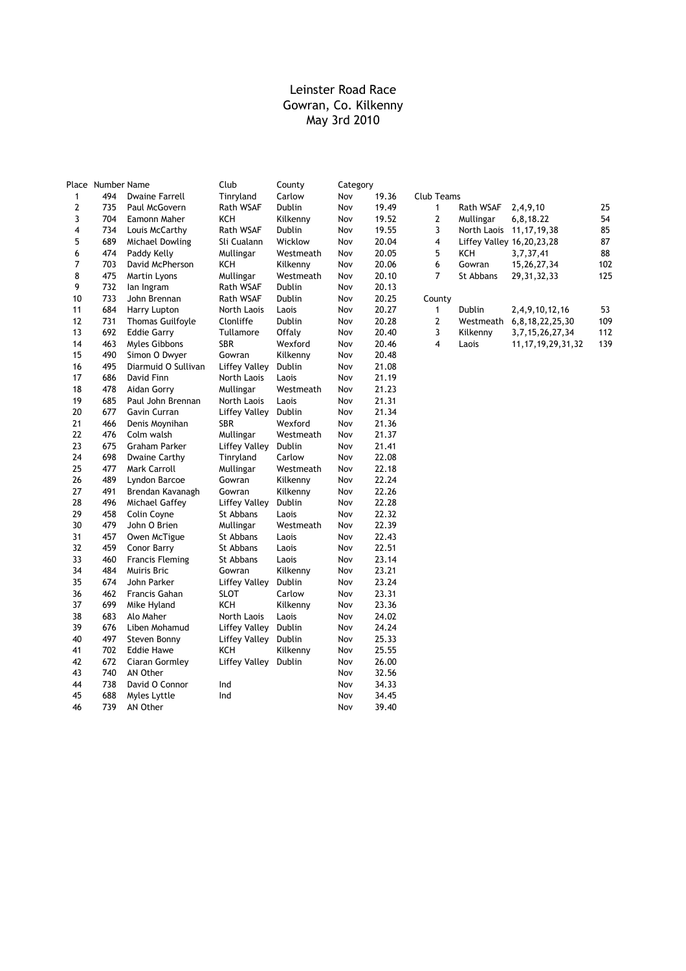|    | Place Number Name |                         | Club                 | County    | Category |       |             |                            |                           |     |
|----|-------------------|-------------------------|----------------------|-----------|----------|-------|-------------|----------------------------|---------------------------|-----|
| 1  | 494               | <b>Dwaine Farrell</b>   | Tinryland            | Carlow    | Nov      | 19.36 | Club Teams  |                            |                           |     |
| 2  | 735               | Paul McGovern           | <b>Rath WSAF</b>     | Dublin    | Nov      | 19.49 | 1           | Rath WSAF                  | 2,4,9,10                  | 25  |
| 3  | 704               | Eamonn Maher            | KCH                  | Kilkenny  | Nov      | 19.52 | 2           | Mullingar                  | 6,8,18.22                 | 54  |
| 4  | 734               | Louis McCarthy          | Rath WSAF            | Dublin    | Nov      | 19.55 | 3           | North Laois 11, 17, 19, 38 |                           | 85  |
| 5  | 689               | Michael Dowling         | Sli Cualann          | Wicklow   | Nov      | 20.04 | 4           | Liffey Valley 16,20,23,28  |                           | 87  |
| 6  | 474               | Paddy Kelly             | Mullingar            | Westmeath | Nov      | 20.05 | 5           | KCH                        | 3,7,37,41                 | 88  |
| 7  | 703               | David McPherson         | KCH                  | Kilkenny  | Nov      | 20.06 | 6           | Gowran                     | 15, 26, 27, 34            | 102 |
| 8  | 475               | Martin Lyons            | Mullingar            | Westmeath | Nov      | 20.10 | 7           | St Abbans                  | 29, 31, 32, 33            | 125 |
| 9  | 732               | lan Ingram              | Rath WSAF            | Dublin    | Nov      | 20.13 |             |                            |                           |     |
| 10 | 733               | John Brennan            | Rath WSAF            | Dublin    | Nov      | 20.25 | County      |                            |                           |     |
| 11 | 684               | Harry Lupton            | North Laois          | Laois     | Nov      | 20.27 | 1           | Dublin                     | 2,4,9,10,12,16            | 53  |
| 12 | 731               | <b>Thomas Guilfoyle</b> | Clonliffe            | Dublin    | Nov      | 20.28 | $\mathbf 2$ |                            | Westmeath 6,8,18,22,25,30 | 109 |
| 13 | 692               | <b>Eddie Garry</b>      | Tullamore            | Offaly    | Nov      | 20.40 | 3           | Kilkenny                   | 3, 7, 15, 26, 27, 34      | 112 |
| 14 | 463               | Myles Gibbons           | <b>SBR</b>           | Wexford   | Nov      | 20.46 | 4           | Laois                      | 11, 17, 19, 29, 31, 32    | 139 |
| 15 | 490               | Simon O Dwyer           | Gowran               | Kilkenny  | Nov      | 20.48 |             |                            |                           |     |
| 16 | 495               | Diarmuid O Sullivan     | <b>Liffey Valley</b> | Dublin    | Nov      | 21.08 |             |                            |                           |     |
| 17 | 686               | David Finn              | North Laois          | Laois     | Nov      | 21.19 |             |                            |                           |     |
| 18 | 478               | Aidan Gorry             | Mullingar            | Westmeath | Nov      | 21.23 |             |                            |                           |     |
| 19 | 685               | Paul John Brennan       | North Laois          | Laois     | Nov      | 21.31 |             |                            |                           |     |
| 20 | 677               | Gavin Curran            | Liffey Valley        | Dublin    | Nov      | 21.34 |             |                            |                           |     |
| 21 | 466               | Denis Moynihan          | <b>SBR</b>           | Wexford   | Nov      | 21.36 |             |                            |                           |     |
| 22 | 476               | Colm walsh              | Mullingar            | Westmeath | Nov      | 21.37 |             |                            |                           |     |
| 23 | 675               | Graham Parker           | <b>Liffey Valley</b> | Dublin    | Nov      | 21.41 |             |                            |                           |     |
| 24 | 698               | Dwaine Carthy           | Tinryland            | Carlow    | Nov      | 22.08 |             |                            |                           |     |
| 25 | 477               | Mark Carroll            | Mullingar            | Westmeath | Nov      | 22.18 |             |                            |                           |     |
| 26 | 489               | Lyndon Barcoe           | Gowran               | Kilkenny  | Nov      | 22.24 |             |                            |                           |     |
| 27 | 491               | Brendan Kavanagh        | Gowran               | Kilkenny  | Nov      | 22.26 |             |                            |                           |     |
| 28 | 496               | Michael Gaffey          | Liffey Valley        | Dublin    | Nov      | 22.28 |             |                            |                           |     |
| 29 | 458               | Colin Coyne             | St Abbans            | Laois     | Nov      | 22.32 |             |                            |                           |     |
| 30 | 479               | John O Brien            | Mullingar            | Westmeath | Nov      | 22.39 |             |                            |                           |     |
| 31 | 457               | Owen McTigue            | St Abbans            | Laois     | Nov      | 22.43 |             |                            |                           |     |
| 32 | 459               | Conor Barry             | St Abbans            | Laois     | Nov      | 22.51 |             |                            |                           |     |
| 33 | 460               | <b>Francis Fleming</b>  | St Abbans            | Laois     | Nov      | 23.14 |             |                            |                           |     |
| 34 | 484               | Muiris Bric             | Gowran               | Kilkenny  | Nov      | 23.21 |             |                            |                           |     |
| 35 | 674               | John Parker             | <b>Liffey Valley</b> | Dublin    | Nov      | 23.24 |             |                            |                           |     |
| 36 | 462               | Francis Gahan           | <b>SLOT</b>          | Carlow    | Nov      | 23.31 |             |                            |                           |     |
| 37 | 699               | Mike Hyland             | KCH                  | Kilkenny  | Nov      | 23.36 |             |                            |                           |     |
| 38 | 683               | Alo Maher               | North Laois          | Laois     | Nov      | 24.02 |             |                            |                           |     |
| 39 | 676               | Liben Mohamud           | Liffey Valley        | Dublin    | Nov      | 24.24 |             |                            |                           |     |
| 40 | 497               | Steven Bonny            | Liffey Valley        | Dublin    | Nov      | 25.33 |             |                            |                           |     |
| 41 | 702               | <b>Eddie Hawe</b>       | <b>KCH</b>           | Kilkenny  | Nov      | 25.55 |             |                            |                           |     |
| 42 | 672               | Ciaran Gormley          | <b>Liffey Valley</b> | Dublin    | Nov      | 26.00 |             |                            |                           |     |
| 43 | 740               | AN Other                |                      |           | Nov      | 32.56 |             |                            |                           |     |
| 44 | 738               | David O Connor          | Ind                  |           | Nov      | 34.33 |             |                            |                           |     |
| 45 | 688               | Myles Lyttle            | Ind                  |           | Nov      | 34.45 |             |                            |                           |     |
| 46 | 739               | AN Other                |                      |           | Nov      | 39.40 |             |                            |                           |     |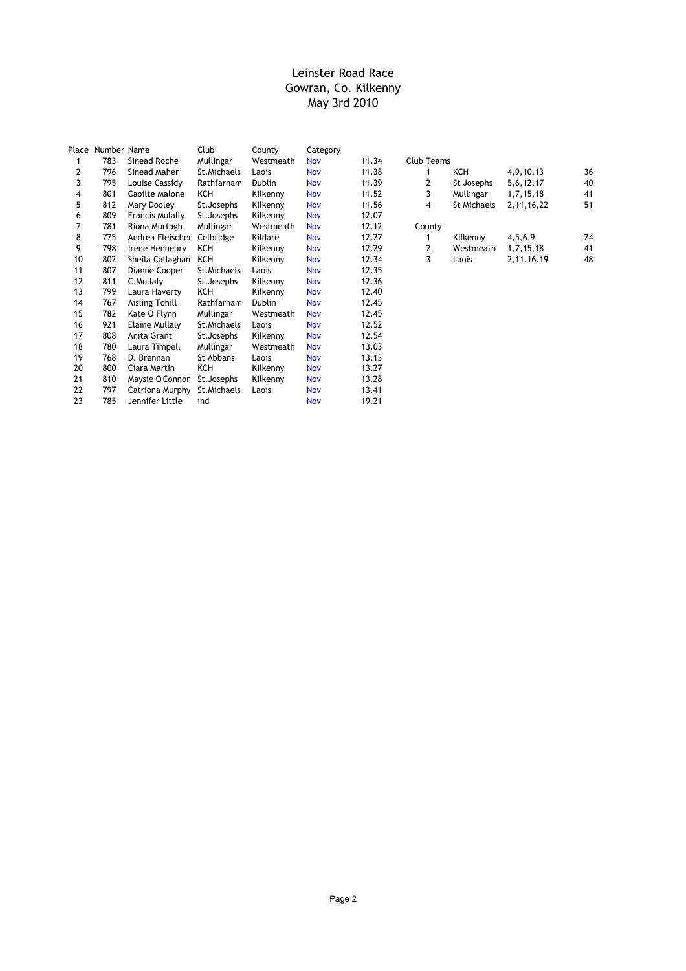| Place | Number Name |                        | Club         | County        | Category   |       |            |             |               |    |
|-------|-------------|------------------------|--------------|---------------|------------|-------|------------|-------------|---------------|----|
| 1     | 783         | Sinead Roche           | Mullingar    | Westmeath     | <b>Nov</b> | 11.34 | Club Teams |             |               |    |
| 2     | 796         | Sinead Maher           | St. Michaels | Laois         | <b>Nov</b> | 11.38 |            | KCH         | 4,9,10.13     | 36 |
| 3     | 795         | Louise Cassidy         | Rathfarnam   | Dublin        | <b>Nov</b> | 11.39 | 2          | St Josephs  | 5,6,12,17     | 40 |
| 4     | 801         | Caoilte Malone         | KCH          | Kilkenny      | Nov        | 11.52 | 3          | Mullingar   | 1,7,15,18     | 41 |
| 5     | 812         | Mary Dooley            | St. Josephs  | Kilkenny      | Nov        | 11.56 | 4          | St Michaels | 2, 11, 16, 22 | 51 |
| 6     | 809         | <b>Francis Mulally</b> | St. Josephs  | Kilkenny      | <b>Nov</b> | 12.07 |            |             |               |    |
|       | 781         | Riona Murtagh          | Mullingar    | Westmeath     | <b>Nov</b> | 12.12 | County     |             |               |    |
| 8     | 775         | Andrea Fleischer       | Celbridge    | Kildare       | <b>Nov</b> | 12.27 |            | Kilkenny    | 4,5,6,9       | 24 |
| 9     | 798         | Irene Hennebry         | KCH          | Kilkenny      | <b>Nov</b> | 12.29 | 2          | Westmeath   | 1,7,15,18     | 41 |
| 10    | 802         | Sheila Callaghan       | KCH          | Kilkenny      | <b>Nov</b> | 12.34 | 3          | Laois       | 2,11,16,19    | 48 |
| 11    | 807         | Dianne Cooper          | St. Michaels | Laois         | Nov        | 12.35 |            |             |               |    |
| 12    | 811         | C.Mullaly              | St. Josephs  | Kilkenny      | <b>Nov</b> | 12.36 |            |             |               |    |
| 13    | 799         | Laura Haverty          | KCH          | Kilkenny      | Nov        | 12.40 |            |             |               |    |
| 14    | 767         | Aisling Tohill         | Rathfarnam   | <b>Dublin</b> | <b>Nov</b> | 12.45 |            |             |               |    |
| 15    | 782         | Kate O Flynn           | Mullingar    | Westmeath     | <b>Nov</b> | 12.45 |            |             |               |    |
| 16    | 921         | Elaine Mullaly         | St.Michaels  | Laois         | <b>Nov</b> | 12.52 |            |             |               |    |
| 17    | 808         | Anita Grant            | St. Josephs  | Kilkenny      | <b>Nov</b> | 12.54 |            |             |               |    |
| 18    | 780         | Laura Timpell          | Mullingar    | Westmeath     | <b>Nov</b> | 13.03 |            |             |               |    |
| 19    | 768         | D. Brennan             | St Abbans    | Laois         | <b>Nov</b> | 13.13 |            |             |               |    |
| 20    | 800         | Ciara Martin           | KCH          | Kilkenny      | Nov        | 13.27 |            |             |               |    |
| 21    | 810         | Maysie O'Connor        | St. Josephs  | Kilkenny      | <b>Nov</b> | 13.28 |            |             |               |    |
| 22    | 797         | Catriona Murphy        | St. Michaels | Laois         | <b>Nov</b> | 13.41 |            |             |               |    |
| 23    | 785         | Jennifer Little        | ind          |               | Nov        | 19.21 |            |             |               |    |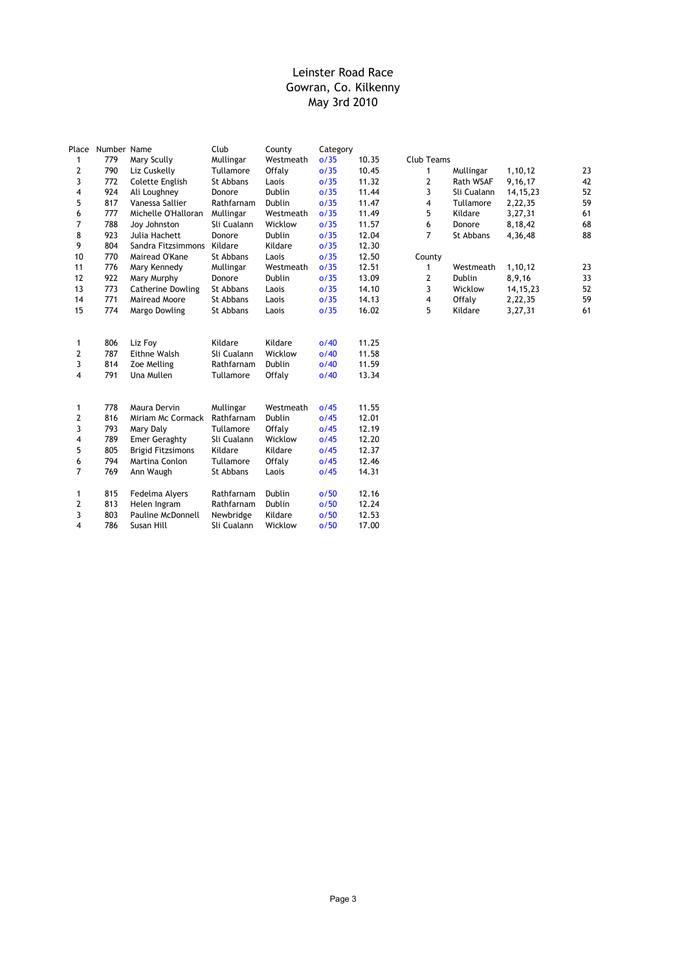| Place          | Number Name |                          | Club        | County        | Category |       |                         |             |            |    |
|----------------|-------------|--------------------------|-------------|---------------|----------|-------|-------------------------|-------------|------------|----|
| 1              | 779         | Mary Scully              | Mullingar   | Westmeath     | o/35     | 10.35 | <b>Club Teams</b>       |             |            |    |
| 2              | 790         | Liz Cuskelly             | Tullamore   | Offaly        | o/35     | 10.45 | 1                       | Mullingar   | 1,10,12    | 23 |
| 3              | 772         | Colette English          | St Abbans   | Laois         | o/35     | 11.32 | 2                       | Rath WSAF   | 9,16,17    | 42 |
| 4              | 924         | Ali Loughney             | Donore      | <b>Dublin</b> | o/35     | 11.44 | 3                       | Sli Cualann | 14, 15, 23 | 52 |
| 5              | 817         | Vanessa Sallier          | Rathfarnam  | Dublin        | o/35     | 11.47 | 4                       | Tullamore   | 2,22,35    | 59 |
| 6              | 777         | Michelle O'Halloran      | Mullingar   | Westmeath     | o/35     | 11.49 | 5                       | Kildare     | 3,27,31    | 61 |
| 7              | 788         | Joy Johnston             | Sli Cualann | Wicklow       | o/35     | 11.57 | 6                       | Donore      | 8,18,42    | 68 |
| 8              | 923         | Julia Hachett            | Donore      | Dublin        | o/35     | 12.04 | $\overline{7}$          | St Abbans   | 4,36,48    | 88 |
| 9              | 804         | Sandra Fitzsimmons       | Kildare     | Kildare       | o/35     | 12.30 |                         |             |            |    |
| 10             | 770         | Mairead O'Kane           | St Abbans   | Laois         | o/35     | 12.50 | County                  |             |            |    |
| 11             | 776         | Mary Kennedy             | Mullingar   | Westmeath     | o/35     | 12.51 | $\mathbf{1}$            | Westmeath   | 1,10,12    | 23 |
| 12             | 922         | Mary Murphy              | Donore      | Dublin        | o/35     | 13.09 | $\mathbf{2}$            | Dublin      | 8,9,16     | 33 |
| 13             | 773         | <b>Catherine Dowling</b> | St Abbans   | Laois         | o/35     | 14.10 | 3                       | Wicklow     | 14, 15, 23 | 52 |
| 14             | 771         | Mairead Moore            | St Abbans   | Laois         | o/35     | 14.13 | $\overline{\mathbf{4}}$ | Offaly      | 2,22,35    | 59 |
| 15             | 774         | Margo Dowling            | St Abbans   | Laois         | o/35     | 16.02 | 5                       | Kildare     | 3,27,31    | 61 |
|                |             |                          |             |               |          |       |                         |             |            |    |
|                |             |                          |             |               |          |       |                         |             |            |    |
| 1              | 806         | Liz Foy                  | Kildare     | Kildare       | o/40     | 11.25 |                         |             |            |    |
| $\mathbf{2}$   | 787         | Eithne Walsh             | Sli Cualann | Wicklow       | o/40     | 11.58 |                         |             |            |    |
| 3              | 814         | Zoe Melling              | Rathfarnam  | Dublin        | o/40     | 11.59 |                         |             |            |    |
| 4              | 791         | Una Mullen               | Tullamore   | Offaly        | o/40     | 13.34 |                         |             |            |    |
|                |             |                          |             |               |          |       |                         |             |            |    |
| 1              | 778         | Maura Dervin             | Mullingar   | Westmeath     | 0/45     | 11.55 |                         |             |            |    |
| 2              | 816         | Miriam Mc Cormack        | Rathfarnam  | Dublin        | o/45     | 12.01 |                         |             |            |    |
| 3              | 793         | Mary Daly                | Tullamore   | Offaly        | 0/45     | 12.19 |                         |             |            |    |
| 4              | 789         | <b>Emer Geraghty</b>     | Sli Cualann | Wicklow       | o/45     | 12.20 |                         |             |            |    |
| 5              | 805         | <b>Brigid Fitzsimons</b> | Kildare     | Kildare       | o/45     | 12.37 |                         |             |            |    |
| 6              | 794         | Martina Conlon           | Tullamore   | Offaly        | o/45     | 12.46 |                         |             |            |    |
| $\overline{7}$ | 769         | Ann Waugh                | St Abbans   | Laois         | o/45     | 14.31 |                         |             |            |    |
|                |             |                          |             |               |          |       |                         |             |            |    |
| 1              | 815         | Fedelma Alyers           | Rathfarnam  | Dublin        | o/50     | 12.16 |                         |             |            |    |
| $\mathbf{2}$   | 813         | Helen Ingram             | Rathfarnam  | Dublin        | o/50     | 12.24 |                         |             |            |    |
| 3              | 803         | <b>Pauline McDonnell</b> | Newbridge   | Kildare       | o/50     | 12.53 |                         |             |            |    |
| 4              | 786         | Susan Hill               | Sli Cualann | Wicklow       | o/50     | 17.00 |                         |             |            |    |